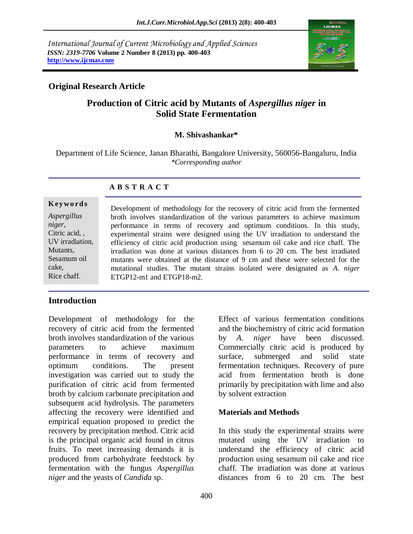*International Journal of Current Microbiology and Applied Sciences ISSN: 2319-7706* **Volume 2 Number 8 (2013) pp. 400-403 http://www.ijcmas.com**



# **Original Research Article**

# **Production of Citric acid by Mutants of** *Aspergillus niger* **in Solid State Fermentation**

### **M. Shivashankar\***

Department of Life Science, Janan Bharathi, Bangalore University, 560056-Bangaluru, India *\*Corresponding author*

### **A B S T R A C T**

#### **K ey w o rd s**

*Aspergillus niger,* Citric acid, , UV irradiation, **Mutants** Sesamum oil cake, Rice chaff.

Development of methodology for the recovery of citric acid from the fermented broth involves standardization of the various parameters to achieve maximum performance in terms of recovery and optimum conditions. In this study, experimental strains were designed using the UV irradiation to understand the efficiency of citric acid production using sesamum oil cake and rice chaff. The irradiation was done at various distances from 6 to 20 cm. The best irradiated mutants were obtained at the distance of 9 cm and these were selected for the mutational studies. The mutant strains isolated were designated as *A. niger*  ETGP12-m1 and ETGP18-m2.

### **Introduction**

Development of methodology for the recovery of citric acid from the fermented broth involves standardization of the various parameters to achieve maximum performance in terms of recovery and optimum conditions. The present investigation was carried out to study the purification of citric acid from fermented broth by calcium carbonate precipitation and subsequent acid hydrolysis. The parameters affecting the recovery were identified and empirical equation proposed to predict the recovery by precipitation method. Citric acid is the principal organic acid found in citrus fruits. To meet increasing demands it is produced from carbohydrate feedstock by fermentation with the fungus *Aspergillus niger* and the yeasts of *Candida* sp.

Effect of various fermentation conditions and the biochemistry of citric acid formation by *A. niger* have been discussed. Commercially citric acid is produced by surface, submerged and solid state fermentation techniques. Recovery of pure acid from fermentation broth is done primarily by precipitation with lime and also by solvent extraction

### **Materials and Methods**

In this study the experimental strains were mutated using the UV irradiation to understand the efficiency of citric acid production using sesamum oil cake and rice chaff. The irradiation was done at various distances from 6 to 20 cm. The best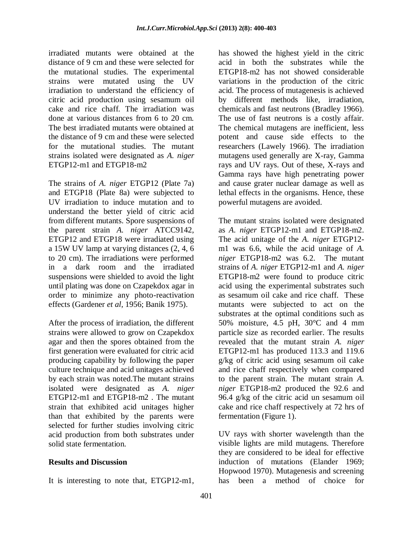irradiated mutants were obtained at the distance of 9 cm and these were selected for the mutational studies. The experimental strains were mutated using the UV irradiation to understand the efficiency of citric acid production using sesamum oil cake and rice chaff. The irradiation was done at various distances from 6 to 20 cm. The best irradiated mutants were obtained at the distance of 9 cm and these were selected for the mutational studies. The mutant strains isolated were designated as *A. niger*  ETGP12-m1 and ETGP18-m2

The strains of *A. niger* ETGP12 (Plate 7a) and ETGP18 (Plate 8a) were subjected to UV irradiation to induce mutation and to understand the better yield of citric acid from different mutants. Spore suspensions of the parent strain *A. niger* ATCC9142, ETGP12 and ETGP18 were irradiated using a 15W UV lamp at varying distances (2, 4, 6 to 20 cm). The irradiations were performed in a dark room and the irradiated suspensions were shielded to avoid the light until plating was done on Czapekdox agar in order to minimize any photo-reactivation effects (Gardener *et al*, 1956; Banik 1975).

After the process of irradiation, the different strains were allowed to grow on Czapekdox agar and then the spores obtained from the first generation were evaluated for citric acid producing capability by following the paper culture technique and acid unitages achieved by each strain was noted.The mutant strains isolated were designated as *A. niger* ETGP12-m1 and ETGP18-m2 . The mutant strain that exhibited acid unitages higher than that exhibited by the parents were selected for further studies involving citric acid production from both substrates under solid state fermentation.

# **Results and Discussion**

It is interesting to note that, ETGP12-m1,

has showed the highest yield in the citric acid in both the substrates while the ETGP18-m2 has not showed considerable variations in the production of the citric acid. The process of mutagenesis is achieved by different methods like, irradiation, chemicals and fast neutrons (Bradley 1966). The use of fast neutrons is a costly affair. The chemical mutagens are inefficient, less potent and cause side effects to the researchers (Lawely 1966). The irradiation mutagens used generally are X-ray, Gamma rays and UV rays. Out of these, X-rays and Gamma rays have high penetrating power and cause grater nuclear damage as well as lethal effects in the organisms. Hence, these powerful mutagens are avoided.

The mutant strains isolated were designated as *A. niger* ETGP12-m1 and ETGP18-m2. The acid unitage of the *A. niger* ETGP12 m1 was 6.6, while the acid unitage of *A. niger* ETGP18-m2 was 6.2. The mutant strains of *A. niger* ETGP12-m1 and *A. niger* ETGP18-m2 were found to produce citric acid using the experimental substrates such as sesamum oil cake and rice chaff. These mutants were subjected to act on the substrates at the optimal conditions such as 50% moisture, 4.5 pH, 30°C and 4 mm particle size as recorded earlier. The results revealed that the mutant strain *A. niger* ETGP12-m1 has produced 113.3 and 119.6 g/kg of citric acid using sesamum oil cake and rice chaff respectively when compared to the parent strain. The mutant strain *A. niger* ETGP18-m2 produced the 92.6 and 96.4 g/kg of the citric acid un sesamum oil cake and rice chaff respectively at 72 hrs of fermentation (Figure 1).

UV rays with shorter wavelength than the visible lights are mild mutagens. Therefore they are considered to be ideal for effective induction of mutations (Elander 1969; Hopwood 1970). Mutagenesis and screening has been a method of choice for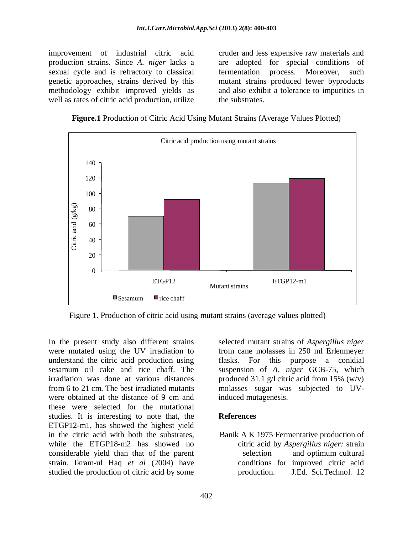improvement of industrial citric acid production strains. Since *A. niger* lacks a sexual cycle and is refractory to classical genetic approaches, strains derived by this methodology exhibit improved yields as well as rates of citric acid production, utilize

cruder and less expensive raw materials and are adopted for special conditions of fermentation process. Moreover, such mutant strains produced fewer byproducts and also exhibit a tolerance to impurities in the substrates.

**Figure.1** Production of Citric Acid Using Mutant Strains (Average Values Plotted)



Figure 1. Production of citric acid using mutant strains (average values plotted)

In the present study also different strains were mutated using the UV irradiation to understand the citric acid production using sesamum oil cake and rice chaff. The irradiation was done at various distances from 6 to 21 cm. The best irradiated mutants were obtained at the distance of 9 cm and these were selected for the mutational studies. It is interesting to note that, the ETGP12-m1, has showed the highest yield in the citric acid with both the substrates, while the ETGP18-m2 has showed no considerable yield than that of the parent strain. Ikram-ul Haq *et al* (2004) have studied the production of citric acid by some

selected mutant strains of *Aspergillus niger* from cane molasses in 250 ml Erlenmeyer flasks. For this purpose a conidial suspension of *A*. *niger* GCB-75, which produced 31.1 g/l citric acid from 15%  $(w/v)$ molasses sugar was subjected to UVinduced mutagenesis.

### **References**

Banik A K 1975 Fermentative production of citric acid by *Aspergillus niger:* strain selection and optimum cultural conditions for improved citric acid production. J.Ed. Sci.Technol. 12